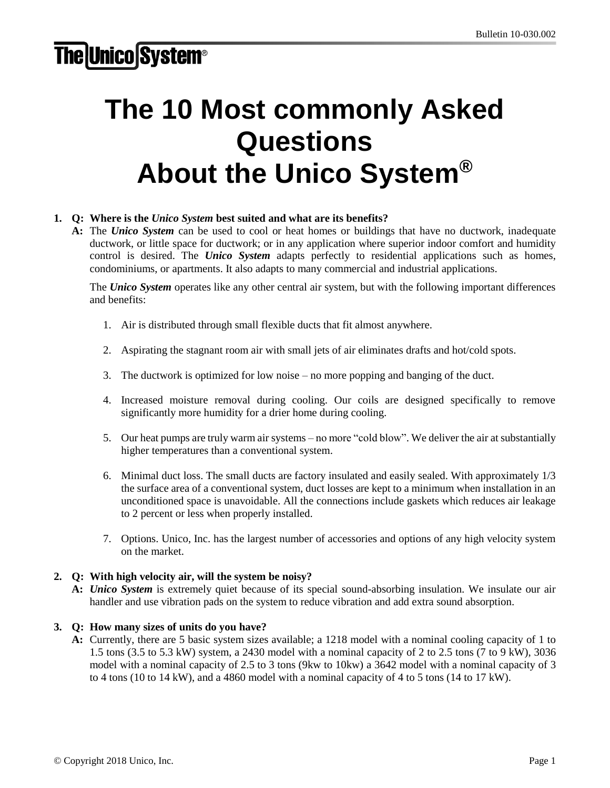# **The Unico System®**

# The 10 Most commonly Asked Questions About the *Unico System®*

# **1. Q: Where is the** *Unico System* **best suited and what are its benefits?**

**A:** The *Unico System* can be used to cool or heat homes or buildings that have no ductwork, inadequate ductwork, or little space for ductwork; or in any application where superior indoor comfort and humidity control is desired. The *Unico System* adapts perfectly to residential applications such as homes, condominiums, or apartments. It also adapts to many commercial and industrial applications.

The *Unico System* operates like any other central air system, but with the following important differences and benefits:

- 1. Air is distributed through small flexible ducts that fit almost anywhere.
- 2. Aspirating the stagnant room air with small jets of air eliminates drafts and hot/cold spots.
- 3. The ductwork is optimized for low noise no more popping and banging of the duct.
- 4. Increased moisture removal during cooling. Our coils are designed specifically to remove significantly more humidity for a drier home during cooling.
- 5. Our heat pumps are truly warm air systems no more "cold blow". We deliver the air at substantially higher temperatures than a conventional system.
- 6. Minimal duct loss. The small ducts are factory insulated and easily sealed. With approximately 1/3 the surface area of a conventional system, duct losses are kept to a minimum when installation in an unconditioned space is unavoidable. All the connections include gaskets which reduces air leakage to 2 percent or less when properly installed.
- 7. Options. Unico, Inc. has the largest number of accessories and options of any high velocity system on the market.

#### **2. Q: With high velocity air, will the system be noisy?**

**A:** *Unico System* is extremely quiet because of its special sound-absorbing insulation. We insulate our air handler and use vibration pads on the system to reduce vibration and add extra sound absorption.

#### **3. Q: How many sizes of units do you have?**

**A:** Currently, there are 5 basic system sizes available; a 1218 model with a nominal cooling capacity of 1 to 1.5 tons (3.5 to 5.3 kW) system, a 2430 model with a nominal capacity of 2 to 2.5 tons (7 to 9 kW), 3036 model with a nominal capacity of 2.5 to 3 tons (9kw to 10kw) a 3642 model with a nominal capacity of 3 to 4 tons (10 to 14 kW), and a 4860 model with a nominal capacity of 4 to 5 tons (14 to 17 kW).